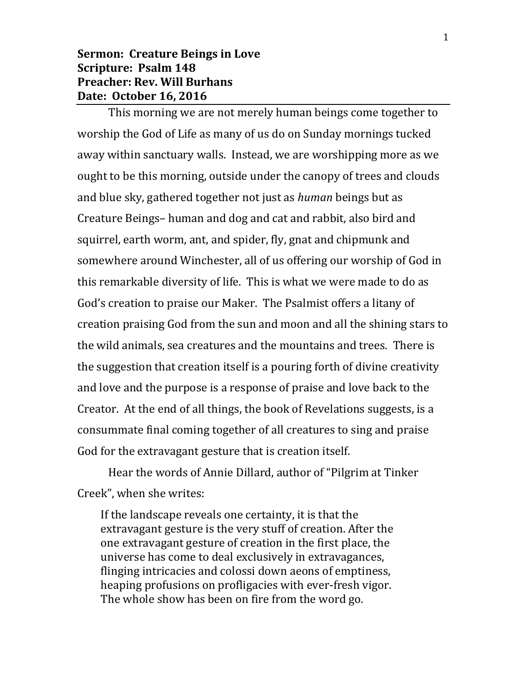## **Sermon: Creature Beings in Love Scripture: Psalm 148 Preacher: Rev. Will Burhans Date: October 16, 2016**

This morning we are not merely human beings come together to worship the God of Life as many of us do on Sunday mornings tucked away within sanctuary walls. Instead, we are worshipping more as we ought to be this morning, outside under the canopy of trees and clouds and blue sky, gathered together not just as *human* beings but as Creature Beings– human and dog and cat and rabbit, also bird and squirrel, earth worm, ant, and spider, fly, gnat and chipmunk and somewhere around Winchester, all of us offering our worship of God in this remarkable diversity of life. This is what we were made to do as God's creation to praise our Maker. The Psalmist offers a litany of creation praising God from the sun and moon and all the shining stars to the wild animals, sea creatures and the mountains and trees. There is the suggestion that creation itself is a pouring forth of divine creativity and love and the purpose is a response of praise and love back to the Creator. At the end of all things, the book of Revelations suggests, is a consummate final coming together of all creatures to sing and praise God for the extravagant gesture that is creation itself.

Hear the words of Annie Dillard, author of "Pilgrim at Tinker Creek", when she writes:

If the landscape reveals one certainty, it is that the extravagant gesture is the very stuff of creation. After the one extravagant gesture of creation in the first place, the universe has come to deal exclusively in extravagances, flinging intricacies and colossi down aeons of emptiness, heaping profusions on profligacies with ever-fresh vigor. The whole show has been on fire from the word go.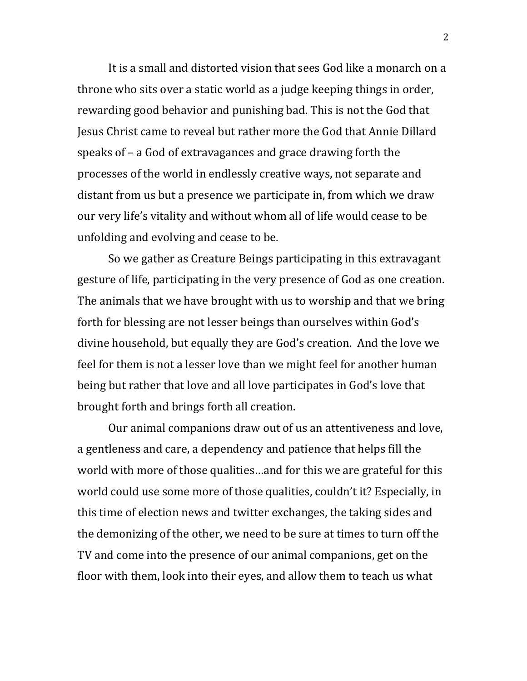It is a small and distorted vision that sees God like a monarch on a throne who sits over a static world as a judge keeping things in order, rewarding good behavior and punishing bad. This is not the God that Jesus Christ came to reveal but rather more the God that Annie Dillard speaks of – a God of extravagances and grace drawing forth the processes of the world in endlessly creative ways, not separate and distant from us but a presence we participate in, from which we draw our very life's vitality and without whom all of life would cease to be unfolding and evolving and cease to be.

So we gather as Creature Beings participating in this extravagant gesture of life, participating in the very presence of God as one creation. The animals that we have brought with us to worship and that we bring forth for blessing are not lesser beings than ourselves within God's divine household, but equally they are God's creation. And the love we feel for them is not a lesser love than we might feel for another human being but rather that love and all love participates in God's love that brought forth and brings forth all creation.

Our animal companions draw out of us an attentiveness and love, a gentleness and care, a dependency and patience that helps fill the world with more of those qualities…and for this we are grateful for this world could use some more of those qualities, couldn't it? Especially, in this time of election news and twitter exchanges, the taking sides and the demonizing of the other, we need to be sure at times to turn off the TV and come into the presence of our animal companions, get on the floor with them, look into their eyes, and allow them to teach us what